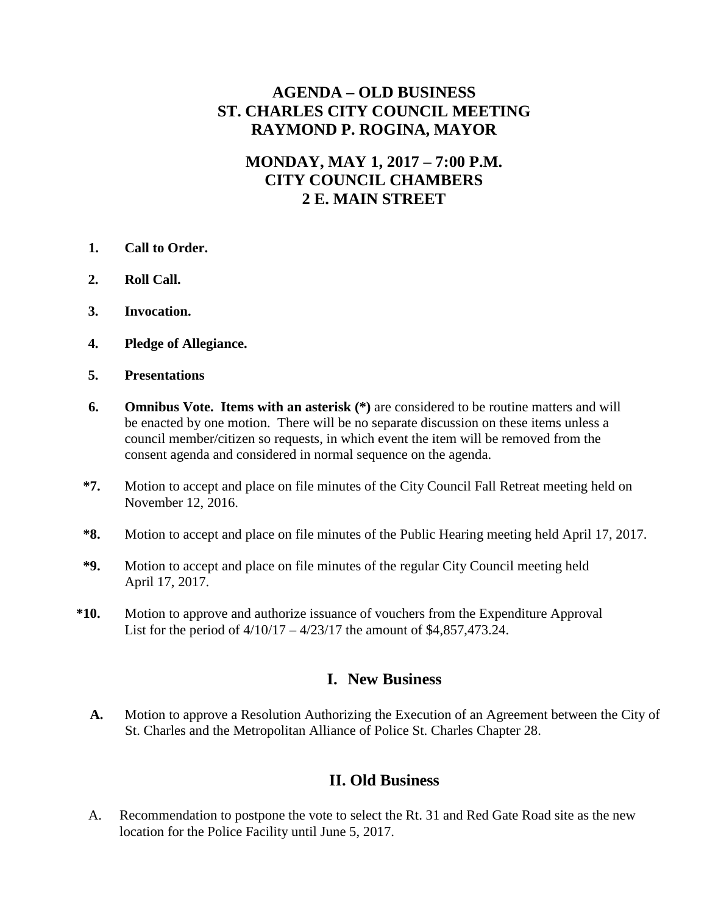## **AGENDA – OLD BUSINESS ST. CHARLES CITY COUNCIL MEETING RAYMOND P. ROGINA, MAYOR**

## **MONDAY, MAY 1, 2017 – 7:00 P.M. CITY COUNCIL CHAMBERS 2 E. MAIN STREET**

- **1. Call to Order.**
- **2. Roll Call.**
- **3. Invocation.**
- **4. Pledge of Allegiance.**
- **5. Presentations**
- **6. Omnibus Vote. Items with an asterisk (\*)** are considered to be routine matters and will be enacted by one motion. There will be no separate discussion on these items unless a council member/citizen so requests, in which event the item will be removed from the consent agenda and considered in normal sequence on the agenda.
- **\*7.** Motion to accept and place on file minutes of the City Council Fall Retreat meeting held on November 12, 2016.
- **\*8.** Motion to accept and place on file minutes of the Public Hearing meeting held April 17, 2017.
- **\*9.** Motion to accept and place on file minutes of the regular City Council meeting held April 17, 2017.
- **\*10.** Motion to approve and authorize issuance of vouchers from the Expenditure Approval List for the period of  $4/10/17 - 4/23/17$  the amount of \$4,857,473.24.

## **I. New Business**

**A.** Motion to approve a Resolution Authorizing the Execution of an Agreement between the City of St. Charles and the Metropolitan Alliance of Police St. Charles Chapter 28.

## **II. Old Business**

A. Recommendation to postpone the vote to select the Rt. 31 and Red Gate Road site as the new location for the Police Facility until June 5, 2017.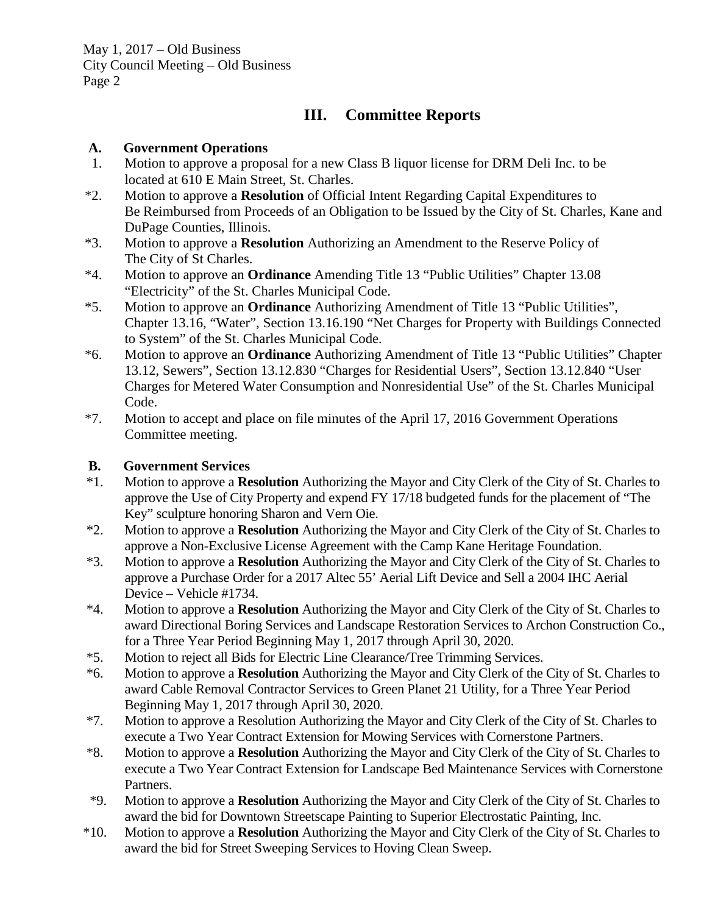# **III. Committee Reports**

### **A. Government Operations**

- 1. Motion to approve a proposal for a new Class B liquor license for DRM Deli Inc. to be located at 610 E Main Street, St. Charles.
- \*2. Motion to approve a **Resolution** of Official Intent Regarding Capital Expenditures to Be Reimbursed from Proceeds of an Obligation to be Issued by the City of St. Charles, Kane and DuPage Counties, Illinois.
- \*3. Motion to approve a **Resolution** Authorizing an Amendment to the Reserve Policy of The City of St Charles.
- \*4. Motion to approve an **Ordinance** Amending Title 13 "Public Utilities" Chapter 13.08 "Electricity" of the St. Charles Municipal Code.
- \*5. Motion to approve an **Ordinance** Authorizing Amendment of Title 13 "Public Utilities", Chapter 13.16, "Water", Section 13.16.190 "Net Charges for Property with Buildings Connected to System" of the St. Charles Municipal Code.
- \*6. Motion to approve an **Ordinance** Authorizing Amendment of Title 13 "Public Utilities" Chapter 13.12, Sewers", Section 13.12.830 "Charges for Residential Users", Section 13.12.840 "User Charges for Metered Water Consumption and Nonresidential Use" of the St. Charles Municipal Code.
- \*7. Motion to accept and place on file minutes of the April 17, 2016 Government Operations Committee meeting.

## **B. Government Services**

- \*1. Motion to approve a **Resolution** Authorizing the Mayor and City Clerk of the City of St. Charles to approve the Use of City Property and expend FY 17/18 budgeted funds for the placement of "The Key" sculpture honoring Sharon and Vern Oie.
- \*2. Motion to approve a **Resolution** Authorizing the Mayor and City Clerk of the City of St. Charles to approve a Non-Exclusive License Agreement with the Camp Kane Heritage Foundation.
- \*3. Motion to approve a **Resolution** Authorizing the Mayor and City Clerk of the City of St. Charles to approve a Purchase Order for a 2017 Altec 55' Aerial Lift Device and Sell a 2004 IHC Aerial Device – Vehicle #1734.
- \*4. Motion to approve a **Resolution** Authorizing the Mayor and City Clerk of the City of St. Charles to award Directional Boring Services and Landscape Restoration Services to Archon Construction Co., for a Three Year Period Beginning May 1, 2017 through April 30, 2020.
- \*5. Motion to reject all Bids for Electric Line Clearance/Tree Trimming Services.
- \*6. Motion to approve a **Resolution** Authorizing the Mayor and City Clerk of the City of St. Charles to award Cable Removal Contractor Services to Green Planet 21 Utility, for a Three Year Period Beginning May 1, 2017 through April 30, 2020.
- \*7. Motion to approve a Resolution Authorizing the Mayor and City Clerk of the City of St. Charles to execute a Two Year Contract Extension for Mowing Services with Cornerstone Partners.
- \*8. Motion to approve a **Resolution** Authorizing the Mayor and City Clerk of the City of St. Charles to execute a Two Year Contract Extension for Landscape Bed Maintenance Services with Cornerstone Partners.
- \*9. Motion to approve a **Resolution** Authorizing the Mayor and City Clerk of the City of St. Charles to award the bid for Downtown Streetscape Painting to Superior Electrostatic Painting, Inc.
- \*10. Motion to approve a **Resolution** Authorizing the Mayor and City Clerk of the City of St. Charles to award the bid for Street Sweeping Services to Hoving Clean Sweep.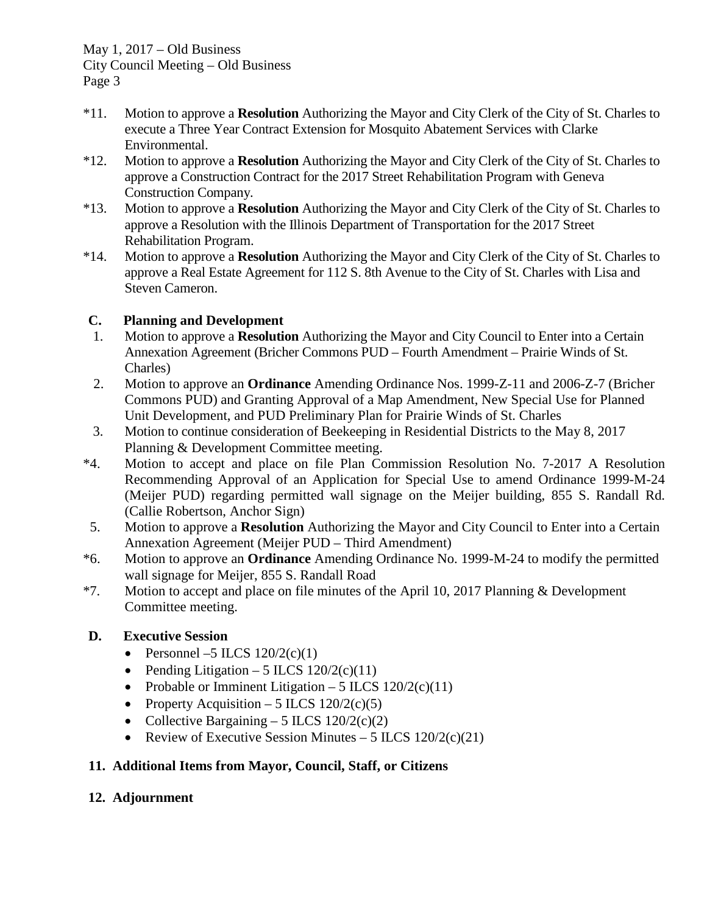May 1, 2017 – Old Business City Council Meeting – Old Business Page 3

- \*11. Motion to approve a **Resolution** Authorizing the Mayor and City Clerk of the City of St. Charles to execute a Three Year Contract Extension for Mosquito Abatement Services with Clarke Environmental.
- \*12. Motion to approve a **Resolution** Authorizing the Mayor and City Clerk of the City of St. Charles to approve a Construction Contract for the 2017 Street Rehabilitation Program with Geneva Construction Company.
- \*13. Motion to approve a **Resolution** Authorizing the Mayor and City Clerk of the City of St. Charles to approve a Resolution with the Illinois Department of Transportation for the 2017 Street Rehabilitation Program.
- \*14. Motion to approve a **Resolution** Authorizing the Mayor and City Clerk of the City of St. Charles to approve a Real Estate Agreement for 112 S. 8th Avenue to the City of St. Charles with Lisa and Steven Cameron.

#### **C. Planning and Development**

- 1. Motion to approve a **Resolution** Authorizing the Mayor and City Council to Enter into a Certain Annexation Agreement (Bricher Commons PUD – Fourth Amendment – Prairie Winds of St. Charles)
- 2. Motion to approve an **Ordinance** Amending Ordinance Nos. 1999-Z-11 and 2006-Z-7 (Bricher Commons PUD) and Granting Approval of a Map Amendment, New Special Use for Planned Unit Development, and PUD Preliminary Plan for Prairie Winds of St. Charles
- 3. Motion to continue consideration of Beekeeping in Residential Districts to the May 8, 2017 Planning & Development Committee meeting.
- \*4. Motion to accept and place on file Plan Commission Resolution No. 7-2017 A Resolution Recommending Approval of an Application for Special Use to amend Ordinance 1999-M-24 (Meijer PUD) regarding permitted wall signage on the Meijer building, 855 S. Randall Rd. (Callie Robertson, Anchor Sign)
- 5. Motion to approve a **Resolution** Authorizing the Mayor and City Council to Enter into a Certain Annexation Agreement (Meijer PUD – Third Amendment)
- \*6. Motion to approve an **Ordinance** Amending Ordinance No. 1999-M-24 to modify the permitted wall signage for Meijer, 855 S. Randall Road
- \*7. Motion to accept and place on file minutes of the April 10, 2017 Planning & Development Committee meeting.

#### **D. Executive Session**

- Personnel –5 ILCS  $120/2(c)(1)$
- Pending Litigation 5 ILCS  $120/2(c)(11)$
- Probable or Imminent Litigation 5 ILCS  $120/2(c)(11)$
- Property Acquisition 5 ILCS  $120/2(c)(5)$
- Collective Bargaining 5 ILCS  $120/2(c)(2)$
- Review of Executive Session Minutes 5 ILCS  $120/2(c)(21)$

#### **11. Additional Items from Mayor, Council, Staff, or Citizens**

#### **12. Adjournment**